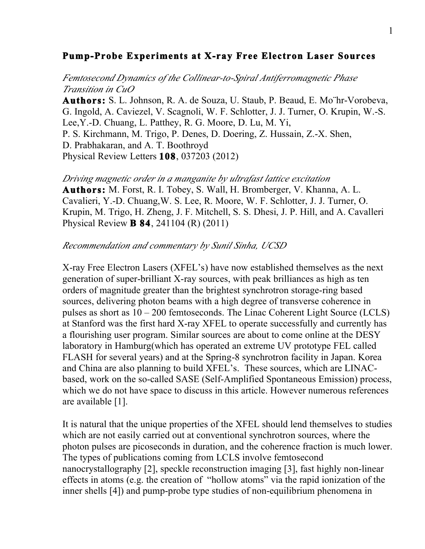## **Pump-Probe Experiments at X-ray Free Electron Laser Sources**

*Femtosecond Dynamics of the Collinear-to-Spiral Antiferromagnetic Phase Transition in CuO*

**Authors:** S. L. Johnson, R. A. de Souza, U. Staub, P. Beaud, E. Mo¨hr-Vorobeva, G. Ingold, A. Caviezel, V. Scagnoli, W. F. Schlotter, J. J. Turner, O. Krupin, W.-S. Lee,Y.-D. Chuang, L. Patthey, R. G. Moore, D. Lu, M. Yi, P. S. Kirchmann, M. Trigo, P. Denes, D. Doering, Z. Hussain, Z.-X. Shen, D. Prabhakaran, and A. T. Boothroyd Physical Review Letters **108**, 037203 (2012)

*Driving magnetic order in a manganite by ultrafast lattice excitation*

**Authors:** M. Forst, R. I. Tobey, S. Wall, H. Bromberger, V. Khanna, A. L. Cavalieri, Y.-D. Chuang,W. S. Lee, R. Moore, W. F. Schlotter, J. J. Turner, O. Krupin, M. Trigo, H. Zheng, J. F. Mitchell, S. S. Dhesi, J. P. Hill, and A. Cavalleri Physical Review **B 84**, 241104 (R) (2011)

## *Recommendation and commentary by Sunil Sinha, UCSD*

X-ray Free Electron Lasers (XFEL's) have now established themselves as the next generation of super-brilliant X-ray sources, with peak brilliances as high as ten orders of magnitude greater than the brightest synchrotron storage-ring based sources, delivering photon beams with a high degree of transverse coherence in pulses as short as 10 – 200 femtoseconds. The Linac Coherent Light Source (LCLS) at Stanford was the first hard X-ray XFEL to operate successfully and currently has a flourishing user program. Similar sources are about to come online at the DESY laboratory in Hamburg(which has operated an extreme UV prototype FEL called FLASH for several years) and at the Spring-8 synchrotron facility in Japan. Korea and China are also planning to build XFEL's. These sources, which are LINACbased, work on the so-called SASE (Self-Amplified Spontaneous Emission) process, which we do not have space to discuss in this article. However numerous references are available [1].

It is natural that the unique properties of the XFEL should lend themselves to studies which are not easily carried out at conventional synchrotron sources, where the photon pulses are picoseconds in duration, and the coherence fraction is much lower. The types of publications coming from LCLS involve femtosecond nanocrystallography [2], speckle reconstruction imaging [3], fast highly non-linear effects in atoms (e.g. the creation of "hollow atoms" via the rapid ionization of the inner shells [4]) and pump-probe type studies of non-equilibrium phenomena in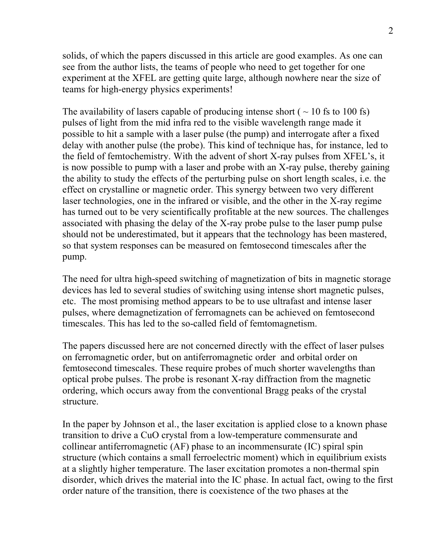solids, of which the papers discussed in this article are good examples. As one can see from the author lists, the teams of people who need to get together for one experiment at the XFEL are getting quite large, although nowhere near the size of teams for high-energy physics experiments!

The availability of lasers capable of producing intense short ( $\sim$  10 fs to 100 fs) pulses of light from the mid infra red to the visible wavelength range made it possible to hit a sample with a laser pulse (the pump) and interrogate after a fixed delay with another pulse (the probe). This kind of technique has, for instance, led to the field of femtochemistry. With the advent of short X-ray pulses from XFEL's, it is now possible to pump with a laser and probe with an X-ray pulse, thereby gaining the ability to study the effects of the perturbing pulse on short length scales, i.e. the effect on crystalline or magnetic order. This synergy between two very different laser technologies, one in the infrared or visible, and the other in the X-ray regime has turned out to be very scientifically profitable at the new sources. The challenges associated with phasing the delay of the X-ray probe pulse to the laser pump pulse should not be underestimated, but it appears that the technology has been mastered, so that system responses can be measured on femtosecond timescales after the pump.

The need for ultra high-speed switching of magnetization of bits in magnetic storage devices has led to several studies of switching using intense short magnetic pulses, etc. The most promising method appears to be to use ultrafast and intense laser pulses, where demagnetization of ferromagnets can be achieved on femtosecond timescales. This has led to the so-called field of femtomagnetism.

The papers discussed here are not concerned directly with the effect of laser pulses on ferromagnetic order, but on antiferromagnetic order and orbital order on femtosecond timescales. These require probes of much shorter wavelengths than optical probe pulses. The probe is resonant X-ray diffraction from the magnetic ordering, which occurs away from the conventional Bragg peaks of the crystal structure.

In the paper by Johnson et al., the laser excitation is applied close to a known phase transition to drive a CuO crystal from a low-temperature commensurate and collinear antiferromagnetic (AF) phase to an incommensurate (IC) spiral spin structure (which contains a small ferroelectric moment) which in equilibrium exists at a slightly higher temperature. The laser excitation promotes a non-thermal spin disorder, which drives the material into the IC phase. In actual fact, owing to the first order nature of the transition, there is coexistence of the two phases at the